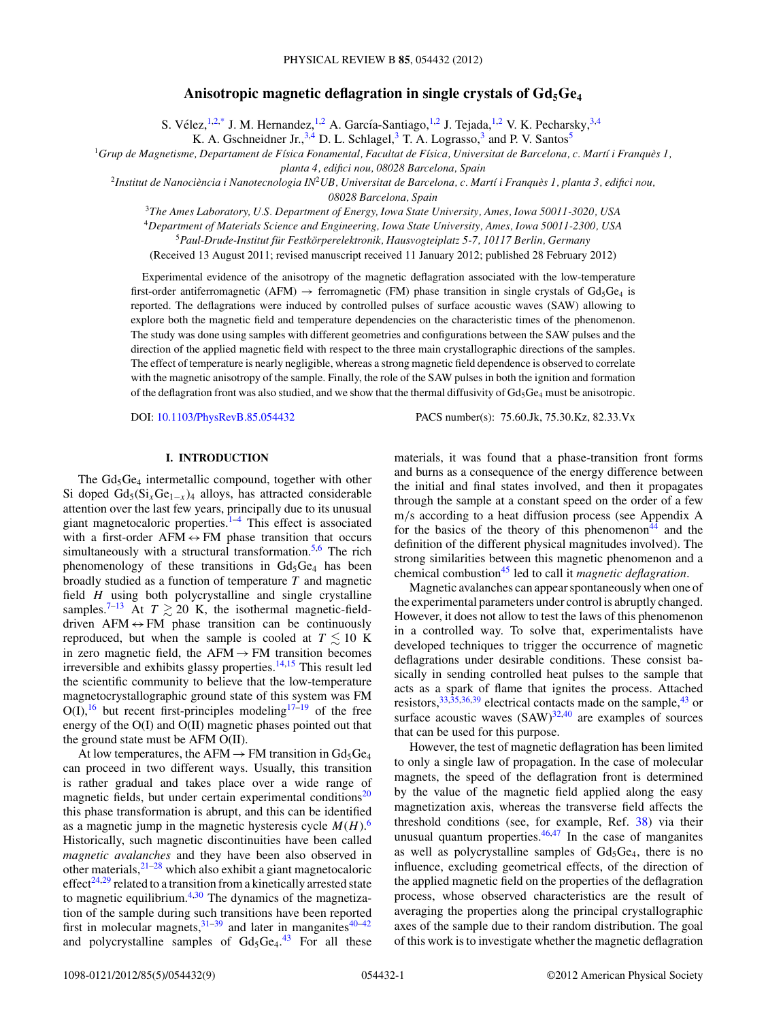# Anisotropic magnetic deflagration in single crystals of  $Gd_5Ge_4$

S. Vélez,  $^{1,2,*}$  $^{1,2,*}$  $^{1,2,*}$  J. M. Hernandez,  $^{1,2}$  A. García-Santiago,  $^{1,2}$  J. Tejada,  $^{1,2}$  V. K. Pecharsky,  $^{3,4}$ 

K. A. Gschneidner Jr.,  $3,4$  D. L. Schlagel,  $3$  T. A. Lograsso,  $3$  and P. V. Santos<sup>5</sup>

<sup>1</sup>*Grup de Magnetisme, Departament de F´ısica Fonamental, Facultat de F´ısica, Universitat de Barcelona, c. Mart´ı i Franques 1, `*

*planta 4, edifici nou, 08028 Barcelona, Spain*

<sup>2</sup>*Institut de Nanociencia i Nanotecnologia IN `* <sup>2</sup>*UB, Universitat de Barcelona, c. Mart´ı i Franques 1, planta 3, edifici nou, `*

*08028 Barcelona, Spain*

<sup>3</sup>*The Ames Laboratory, U.S. Department of Energy, Iowa State University, Ames, Iowa 50011-3020, USA*

<sup>4</sup>*Department of Materials Science and Engineering, Iowa State University, Ames, Iowa 50011-2300, USA*

<sup>5</sup>*Paul-Drude-Institut fur Festk ¨ orperelektronik, Hausvogteiplatz 5-7, 10117 Berlin, Germany ¨*

(Received 13 August 2011; revised manuscript received 11 January 2012; published 28 February 2012)

Experimental evidence of the anisotropy of the magnetic deflagration associated with the low-temperature first-order antiferromagnetic (AFM)  $\rightarrow$  ferromagnetic (FM) phase transition in single crystals of Gd<sub>5</sub>Ge<sub>4</sub> is reported. The deflagrations were induced by controlled pulses of surface acoustic waves (SAW) allowing to explore both the magnetic field and temperature dependencies on the characteristic times of the phenomenon. The study was done using samples with different geometries and configurations between the SAW pulses and the direction of the applied magnetic field with respect to the three main crystallographic directions of the samples. The effect of temperature is nearly negligible, whereas a strong magnetic field dependence is observed to correlate with the magnetic anisotropy of the sample. Finally, the role of the SAW pulses in both the ignition and formation of the deflagration front was also studied, and we show that the thermal diffusivity of  $Gd_5Ge_4$  must be anisotropic.

DOI: [10.1103/PhysRevB.85.054432](http://dx.doi.org/10.1103/PhysRevB.85.054432) PACS number(s): 75*.*60*.*Jk, 75*.*30*.*Kz, 82*.*33*.*Vx

# **I. INTRODUCTION**

The  $Gd_5Ge_4$  intermetallic compound, together with other Si doped  $Gd_5(Si_xGe_{1-x})_4$  alloys, has attracted considerable attention over the last few years, principally due to its unusual giant magnetocaloric properties. $1-4$  This effect is associated with a first-order  $AFM \leftrightarrow FM$  phase transition that occurs simultaneously with a structural transformation.<sup>[5,6](#page-7-0)</sup> The rich phenomenology of these transitions in  $Gd_5Ge_4$  has been broadly studied as a function of temperature *T* and magnetic field *H* using both polycrystalline and single crystalline samples.<sup>7-13</sup> At  $T \gtrsim 20$  K, the isothermal magnetic-fielddriven  $AFM \leftrightarrow FM$  phase transition can be continuously reproduced, but when the sample is cooled at  $T \leq 10$  K in zero magnetic field, the  $AFM \rightarrow FM$  transition becomes irreversible and exhibits glassy properties. $14,15$  This result led the scientific community to believe that the low-temperature magnetocrystallographic ground state of this system was FM  $O(I)$ , <sup>[16](#page-7-0)</sup> but recent first-principles modeling<sup>[17–19](#page-7-0)</sup> of the free energy of the O(I) and O(II) magnetic phases pointed out that the ground state must be AFM O(II).

At low temperatures, the AFM  $\rightarrow$  FM transition in Gd<sub>5</sub>Ge<sub>4</sub> can proceed in two different ways. Usually, this transition is rather gradual and takes place over a wide range of magnetic fields, but under certain experimental conditions $20$ this phase transformation is abrupt, and this can be identified as a magnetic jump in the magnetic hysteresis cycle  $M(H)$ .<sup>[6](#page-7-0)</sup> Historically, such magnetic discontinuities have been called *magnetic avalanches* and they have been also observed in other materials,  $2^{1-28}$  which also exhibit a giant magnetocaloric effect<sup>[24,29](#page-7-0)</sup> related to a transition from a kinetically arrested state to magnetic equilibrium[.4,30](#page-7-0) The dynamics of the magnetization of the sample during such transitions have been reported first in molecular magnets,  $31-39$  $31-39$  and later in manganites  $40-42$ and polycrystalline samples of  $Gd_5Ge_4$ .<sup>[43](#page-8-0)</sup> For all these

materials, it was found that a phase-transition front forms and burns as a consequence of the energy difference between the initial and final states involved, and then it propagates through the sample at a constant speed on the order of a few m*/*s according to a heat diffusion process (see Appendix A for the basics of the theory of this phenomenon<sup>[44](#page-8-0)</sup> and the definition of the different physical magnitudes involved). The strong similarities between this magnetic phenomenon and a chemical combustio[n45](#page-8-0) led to call it *magnetic deflagration*.

Magnetic avalanches can appear spontaneously when one of the experimental parameters under control is abruptly changed. However, it does not allow to test the laws of this phenomenon in a controlled way. To solve that, experimentalists have developed techniques to trigger the occurrence of magnetic deflagrations under desirable conditions. These consist basically in sending controlled heat pulses to the sample that acts as a spark of flame that ignites the process. Attached resistors,  $33,35,36,39$  electrical contacts made on the sample,  $43$  or surface acoustic waves  $(SAW)^{32,40}$  $(SAW)^{32,40}$  $(SAW)^{32,40}$  are examples of sources that can be used for this purpose.

However, the test of magnetic deflagration has been limited to only a single law of propagation. In the case of molecular magnets, the speed of the deflagration front is determined by the value of the magnetic field applied along the easy magnetization axis, whereas the transverse field affects the threshold conditions (see, for example, Ref. [38\)](#page-8-0) via their unusual quantum properties. $46,47$  In the case of manganites as well as polycrystalline samples of  $Gd_5Ge_4$ , there is no influence, excluding geometrical effects, of the direction of the applied magnetic field on the properties of the deflagration process, whose observed characteristics are the result of averaging the properties along the principal crystallographic axes of the sample due to their random distribution. The goal of this work is to investigate whether the magnetic deflagration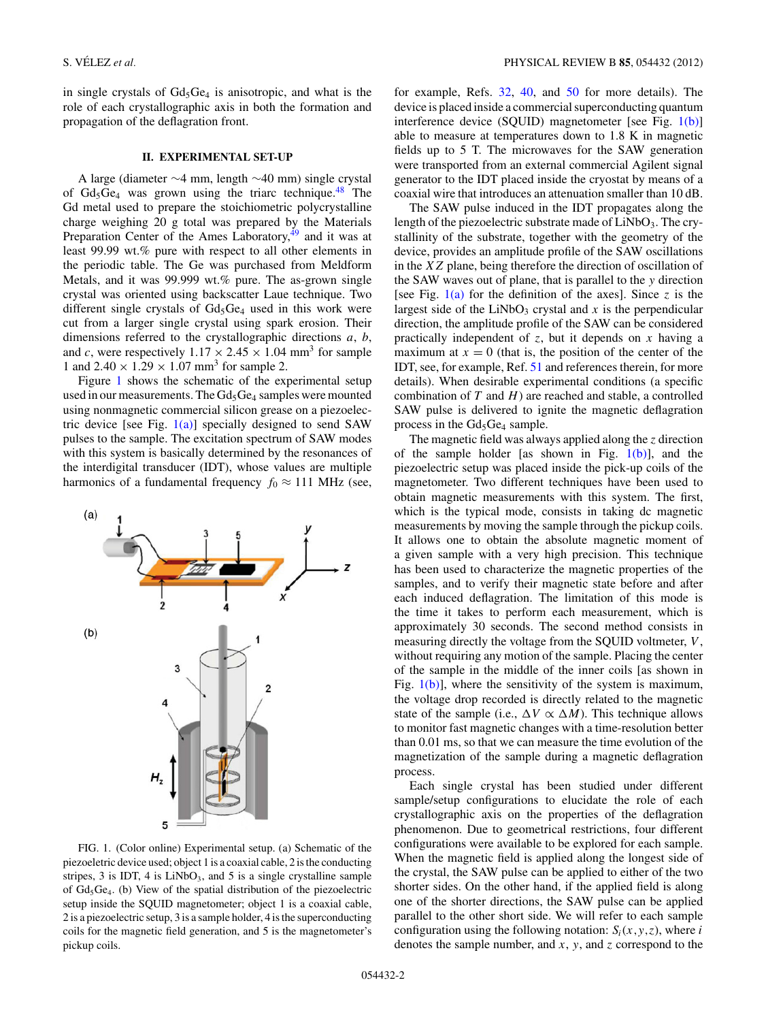<span id="page-1-0"></span>in single crystals of  $Gd_5Ge_4$  is anisotropic, and what is the role of each crystallographic axis in both the formation and propagation of the deflagration front.

### **II. EXPERIMENTAL SET-UP**

A large (diameter ∼4 mm, length ∼40 mm) single crystal of  $Gd_5Ge_4$  was grown using the triarc technique.<sup>48</sup> The Gd metal used to prepare the stoichiometric polycrystalline charge weighing 20 g total was prepared by the Materials Preparation Center of the Ames Laboratory, $49$  and it was at least 99.99 wt.% pure with respect to all other elements in the periodic table. The Ge was purchased from Meldform Metals, and it was 99.999 wt.% pure. The as-grown single crystal was oriented using backscatter Laue technique. Two different single crystals of  $Gd_5Ge_4$  used in this work were cut from a larger single crystal using spark erosion. Their dimensions referred to the crystallographic directions *a*, *b*, and *c*, were respectively  $1.17 \times 2.45 \times 1.04$  mm<sup>3</sup> for sample 1 and  $2.40 \times 1.29 \times 1.07$  mm<sup>3</sup> for sample 2.

Figure 1 shows the schematic of the experimental setup used in our measurements. The  $Gd_5Ge_4$  samples were mounted using nonmagnetic commercial silicon grease on a piezoelectric device [see Fig.  $1(a)$ ] specially designed to send SAW pulses to the sample. The excitation spectrum of SAW modes with this system is basically determined by the resonances of the interdigital transducer (IDT), whose values are multiple harmonics of a fundamental frequency  $f_0 \approx 111$  MHz (see,



FIG. 1. (Color online) Experimental setup. (a) Schematic of the piezoeletric device used; object 1 is a coaxial cable, 2 is the conducting stripes,  $3$  is IDT,  $4$  is LiNbO<sub>3</sub>, and  $5$  is a single crystalline sample of  $Gd_5Ge_4$ . (b) View of the spatial distribution of the piezoelectric setup inside the SQUID magnetometer; object 1 is a coaxial cable, 2 is a piezoelectric setup, 3 is a sample holder, 4 is the superconducting coils for the magnetic field generation, and 5 is the magnetometer's pickup coils.

for example, Refs. [32,](#page-7-0) [40,](#page-8-0) and [50](#page-8-0) for more details). The device is placed inside a commercial superconducting quantum interference device (SQUID) magnetometer [see Fig.  $1(b)$ ] able to measure at temperatures down to 1.8 K in magnetic fields up to 5 T. The microwaves for the SAW generation were transported from an external commercial Agilent signal generator to the IDT placed inside the cryostat by means of a coaxial wire that introduces an attenuation smaller than 10 dB.

The SAW pulse induced in the IDT propagates along the length of the piezoelectric substrate made of  $LiNbO<sub>3</sub>$ . The crystallinity of the substrate, together with the geometry of the device, provides an amplitude profile of the SAW oscillations in the *XZ* plane, being therefore the direction of oscillation of the SAW waves out of plane, that is parallel to the *y* direction [see Fig.  $1(a)$  for the definition of the axes]. Since *z* is the largest side of the LiNbO<sub>3</sub> crystal and  $x$  is the perpendicular direction, the amplitude profile of the SAW can be considered practically independent of *z*, but it depends on *x* having a maximum at  $x = 0$  (that is, the position of the center of the IDT, see, for example, Ref. [51](#page-8-0) and references therein, for more details). When desirable experimental conditions (a specific combination of *T* and *H*) are reached and stable, a controlled SAW pulse is delivered to ignite the magnetic deflagration process in the  $Gd_5Ge_4$  sample.

The magnetic field was always applied along the *z* direction of the sample holder [as shown in Fig.  $1(b)$ ], and the piezoelectric setup was placed inside the pick-up coils of the magnetometer. Two different techniques have been used to obtain magnetic measurements with this system. The first, which is the typical mode, consists in taking dc magnetic measurements by moving the sample through the pickup coils. It allows one to obtain the absolute magnetic moment of a given sample with a very high precision. This technique has been used to characterize the magnetic properties of the samples, and to verify their magnetic state before and after each induced deflagration. The limitation of this mode is the time it takes to perform each measurement, which is approximately 30 seconds. The second method consists in measuring directly the voltage from the SQUID voltmeter, *V* , without requiring any motion of the sample. Placing the center of the sample in the middle of the inner coils [as shown in Fig.  $1(b)$ , where the sensitivity of the system is maximum, the voltage drop recorded is directly related to the magnetic state of the sample (i.e.,  $\Delta V \propto \Delta M$ ). This technique allows to monitor fast magnetic changes with a time-resolution better than 0.01 ms, so that we can measure the time evolution of the magnetization of the sample during a magnetic deflagration process.

Each single crystal has been studied under different sample/setup configurations to elucidate the role of each crystallographic axis on the properties of the deflagration phenomenon. Due to geometrical restrictions, four different configurations were available to be explored for each sample. When the magnetic field is applied along the longest side of the crystal, the SAW pulse can be applied to either of the two shorter sides. On the other hand, if the applied field is along one of the shorter directions, the SAW pulse can be applied parallel to the other short side. We will refer to each sample configuration using the following notation:  $S_i(x, y, z)$ , where *i* denotes the sample number, and *x*, *y*, and *z* correspond to the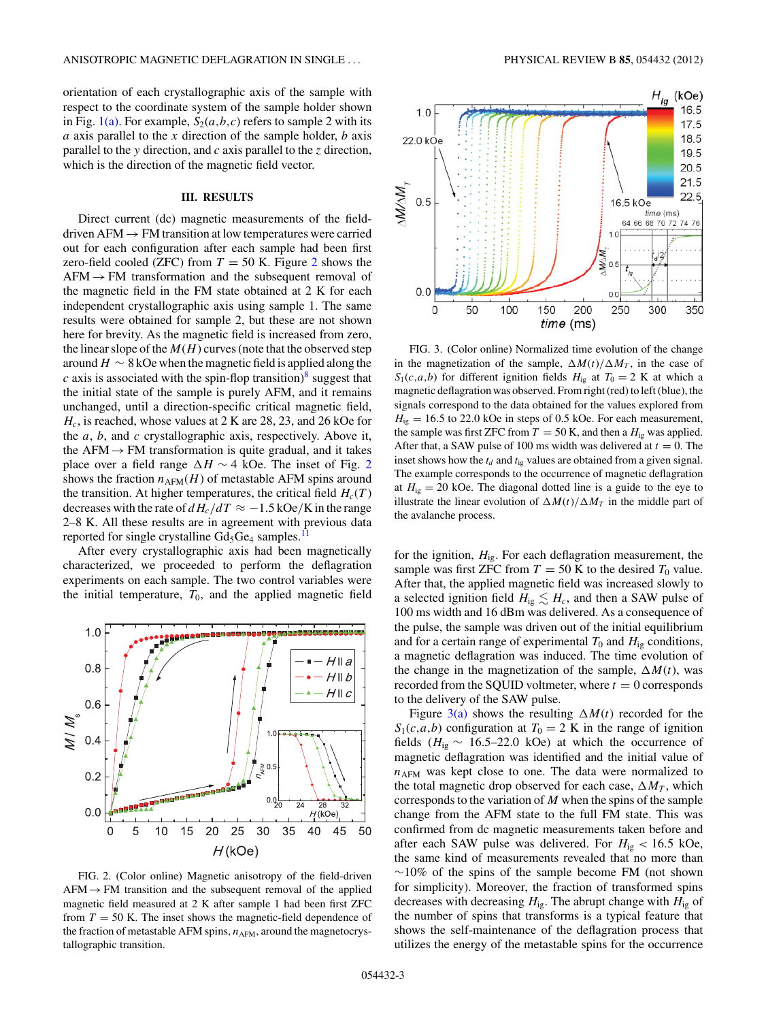<span id="page-2-0"></span>orientation of each crystallographic axis of the sample with respect to the coordinate system of the sample holder shown in Fig. [1\(a\).](#page-1-0) For example,  $S_2(a, b, c)$  refers to sample 2 with its *a* axis parallel to the *x* direction of the sample holder, *b* axis parallel to the *y* direction, and *c* axis parallel to the *z* direction, which is the direction of the magnetic field vector.

### **III. RESULTS**

Direct current (dc) magnetic measurements of the fielddriven AFM  $\rightarrow$  FM transition at low temperatures were carried out for each configuration after each sample had been first zero-field cooled (ZFC) from  $T = 50$  K. Figure 2 shows the  $AFM \rightarrow FM$  transformation and the subsequent removal of the magnetic field in the FM state obtained at 2 K for each independent crystallographic axis using sample 1. The same results were obtained for sample 2, but these are not shown here for brevity. As the magnetic field is increased from zero, the linear slope of the  $M(H)$  curves (note that the observed step around  $H \sim 8$  kOe when the magnetic field is applied along the *c* axis is associated with the spin-flop transition)<sup>[8](#page-7-0)</sup> suggest that the initial state of the sample is purely AFM, and it remains unchanged, until a direction-specific critical magnetic field, *Hc*, is reached, whose values at 2 K are 28, 23, and 26 kOe for the *a*, *b*, and *c* crystallographic axis, respectively. Above it, the AFM  $\rightarrow$  FM transformation is quite gradual, and it takes place over a field range  $\Delta H \sim 4$  kOe. The inset of Fig. 2 shows the fraction  $n_{AFM}(H)$  of metastable AFM spins around the transition. At higher temperatures, the critical field  $H_c(T)$ decreases with the rate of  $dH_c/dT \approx -1.5$  kOe/K in the range 2–8 K. All these results are in agreement with previous data reported for single crystalline  $Gd_5Ge_4$  samples.<sup>11</sup>

After every crystallographic axis had been magnetically characterized, we proceeded to perform the deflagration experiments on each sample. The two control variables were the initial temperature,  $T_0$ , and the applied magnetic field



FIG. 2. (Color online) Magnetic anisotropy of the field-driven  $AFM \rightarrow FM$  transition and the subsequent removal of the applied magnetic field measured at 2 K after sample 1 had been first ZFC from  $T = 50$  K. The inset shows the magnetic-field dependence of the fraction of metastable AFM spins,  $n_{AFM}$ , around the magnetocrystallographic transition.



FIG. 3. (Color online) Normalized time evolution of the change in the magnetization of the sample,  $\Delta M(t)/\Delta M_T$ , in the case of  $S_1(c,a,b)$  for different ignition fields  $H_{ig}$  at  $T_0 = 2$  K at which a magnetic deflagration was observed. From right (red) to left (blue), the signals correspond to the data obtained for the values explored from  $H_{ig} = 16.5$  to 22.0 kOe in steps of 0.5 kOe. For each measurement, the sample was first ZFC from  $T = 50$  K, and then a  $H_{ig}$  was applied. After that, a SAW pulse of 100 ms width was delivered at  $t = 0$ . The inset shows how the  $t_d$  and  $t_{ig}$  values are obtained from a given signal. The example corresponds to the occurrence of magnetic deflagration at  $H_{ig} = 20$  kOe. The diagonal dotted line is a guide to the eye to illustrate the linear evolution of  $\Delta M(t)/\Delta M_T$  in the middle part of the avalanche process.

for the ignition, *H*ig. For each deflagration measurement, the sample was first ZFC from  $T = 50$  K to the desired  $T_0$  value. After that, the applied magnetic field was increased slowly to a selected ignition field  $H_{ig} \lesssim H_c$ , and then a SAW pulse of 100 ms width and 16 dBm was delivered. As a consequence of the pulse, the sample was driven out of the initial equilibrium and for a certain range of experimental  $T_0$  and  $H_{i\varrho}$  conditions, a magnetic deflagration was induced. The time evolution of the change in the magnetization of the sample,  $\Delta M(t)$ , was recorded from the SQUID voltmeter, where  $t = 0$  corresponds to the delivery of the SAW pulse.

Figure 3(a) shows the resulting  $\Delta M(t)$  recorded for the  $S_1(c,a,b)$  configuration at  $T_0 = 2$  K in the range of ignition fields ( $H_{\text{ig}} \sim 16.5-22.0$  kOe) at which the occurrence of magnetic deflagration was identified and the initial value of  $n_{AFM}$  was kept close to one. The data were normalized to the total magnetic drop observed for each case,  $\Delta M_T$ , which corresponds to the variation of *M* when the spins of the sample change from the AFM state to the full FM state. This was confirmed from dc magnetic measurements taken before and after each SAW pulse was delivered. For  $H_{ig} < 16.5$  kOe, the same kind of measurements revealed that no more than  $~\sim$ 10% of the spins of the sample become FM (not shown for simplicity). Moreover, the fraction of transformed spins decreases with decreasing *H*ig. The abrupt change with *H*ig of the number of spins that transforms is a typical feature that shows the self-maintenance of the deflagration process that utilizes the energy of the metastable spins for the occurrence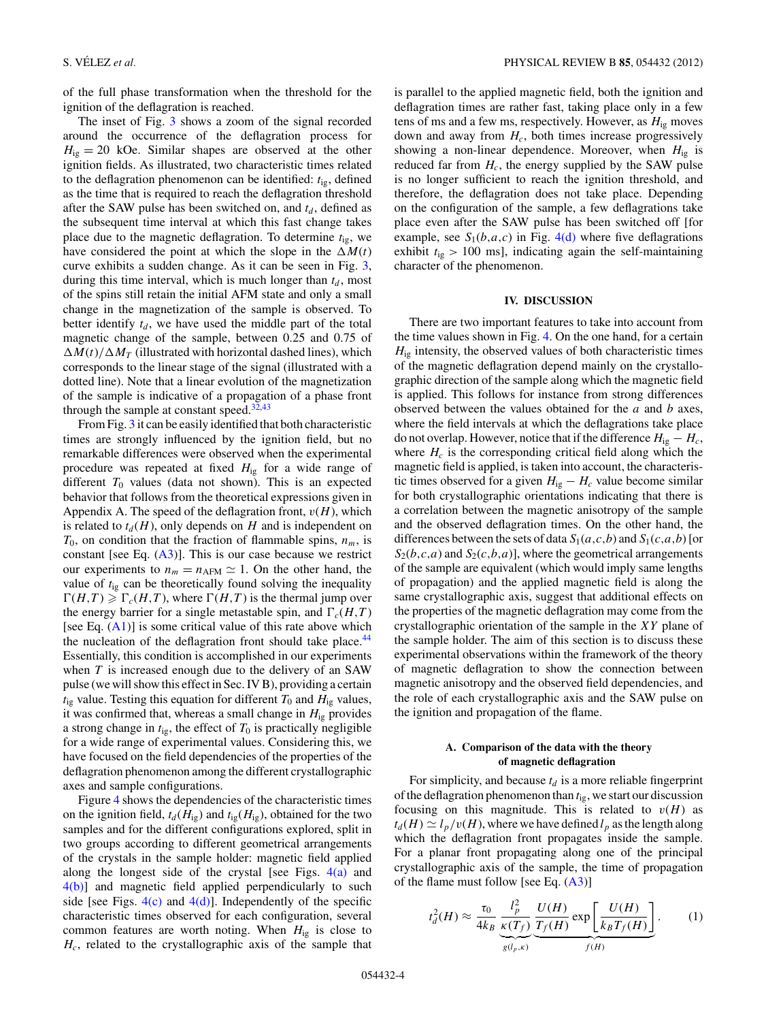<span id="page-3-0"></span>of the full phase transformation when the threshold for the ignition of the deflagration is reached.

The inset of Fig. [3](#page-2-0) shows a zoom of the signal recorded around the occurrence of the deflagration process for  $H_{ig} = 20$  kOe. Similar shapes are observed at the other ignition fields. As illustrated, two characteristic times related to the deflagration phenomenon can be identified:  $t_{ig}$ , defined as the time that is required to reach the deflagration threshold after the SAW pulse has been switched on, and  $t_d$ , defined as the subsequent time interval at which this fast change takes place due to the magnetic deflagration. To determine *t*ig, we have considered the point at which the slope in the  $\Delta M(t)$ curve exhibits a sudden change. As it can be seen in Fig. [3,](#page-2-0) during this time interval, which is much longer than  $t_d$ , most of the spins still retain the initial AFM state and only a small change in the magnetization of the sample is observed. To better identify  $t_d$ , we have used the middle part of the total magnetic change of the sample, between 0.25 and 0.75 of  $\Delta M(t)/\Delta M_T$  (illustrated with horizontal dashed lines), which corresponds to the linear stage of the signal (illustrated with a dotted line). Note that a linear evolution of the magnetization of the sample is indicative of a propagation of a phase front through the sample at constant speed. $32,43$  $32,43$ 

From Fig. [3](#page-2-0) it can be easily identified that both characteristic times are strongly influenced by the ignition field, but no remarkable differences were observed when the experimental procedure was repeated at fixed *H*ig for a wide range of different  $T_0$  values (data not shown). This is an expected behavior that follows from the theoretical expressions given in Appendix A. The speed of the deflagration front,  $v(H)$ , which is related to  $t_d(H)$ , only depends on *H* and is independent on  $T_0$ , on condition that the fraction of flammable spins,  $n_m$ , is constant [see Eq.  $(A3)$ ]. This is our case because we restrict our experiments to  $n_m = n_{AFM} \approx 1$ . On the other hand, the value of *t*ig can be theoretically found solving the inequality  $\Gamma(H,T) \geq \Gamma_c(H,T)$ , where  $\Gamma(H,T)$  is the thermal jump over the energy barrier for a single metastable spin, and  $\Gamma_c(H,T)$ [see Eq.  $(A1)$ ] is some critical value of this rate above which the nucleation of the deflagration front should take place.<sup>44</sup> Essentially, this condition is accomplished in our experiments when *T* is increased enough due to the delivery of an SAW pulse (we will show this effect in Sec. IV B), providing a certain  $t_{ig}$  value. Testing this equation for different  $T_0$  and  $H_{ig}$  values, it was confirmed that, whereas a small change in  $H_{ig}$  provides a strong change in  $t_{ig}$ , the effect of  $T_0$  is practically negligible for a wide range of experimental values. Considering this, we have focused on the field dependencies of the properties of the deflagration phenomenon among the different crystallographic axes and sample configurations.

Figure [4](#page-4-0) shows the dependencies of the characteristic times on the ignition field,  $t_d$  ( $H_{ig}$ ) and  $t_{ig}$  ( $H_{ig}$ ), obtained for the two samples and for the different configurations explored, split in two groups according to different geometrical arrangements of the crystals in the sample holder: magnetic field applied along the longest side of the crystal [see Figs.  $4(a)$  and [4\(b\)\]](#page-4-0) and magnetic field applied perpendicularly to such side [see Figs.  $4(c)$  and  $4(d)$ ]. Independently of the specific characteristic times observed for each configuration, several common features are worth noting. When *H*ig is close to *Hc*, related to the crystallographic axis of the sample that

is parallel to the applied magnetic field, both the ignition and deflagration times are rather fast, taking place only in a few tens of ms and a few ms, respectively. However, as  $H_{i}$ <sub>g</sub> moves down and away from  $H_c$ , both times increase progressively showing a non-linear dependence. Moreover, when  $H_{ig}$  is reduced far from  $H_c$ , the energy supplied by the SAW pulse is no longer sufficient to reach the ignition threshold, and therefore, the deflagration does not take place. Depending on the configuration of the sample, a few deflagrations take place even after the SAW pulse has been switched off [for example, see  $S_1(b,a,c)$  in Fig. [4\(d\)](#page-4-0) where five deflagrations exhibit  $t_{ig}$  > 100 ms], indicating again the self-maintaining character of the phenomenon.

## **IV. DISCUSSION**

There are two important features to take into account from the time values shown in Fig. [4.](#page-4-0) On the one hand, for a certain  $H_{i\varrho}$  intensity, the observed values of both characteristic times of the magnetic deflagration depend mainly on the crystallographic direction of the sample along which the magnetic field is applied. This follows for instance from strong differences observed between the values obtained for the *a* and *b* axes, where the field intervals at which the deflagrations take place do not overlap. However, notice that if the difference  $H_{i\sigma} - H_c$ , where  $H_c$  is the corresponding critical field along which the magnetic field is applied, is taken into account, the characteristic times observed for a given  $H_{ig} - H_c$  value become similar for both crystallographic orientations indicating that there is a correlation between the magnetic anisotropy of the sample and the observed deflagration times. On the other hand, the differences between the sets of data  $S_1(a,c,b)$  and  $S_1(c,a,b)$  [or  $S_2(b,c,a)$  and  $S_2(c,b,a)$ ], where the geometrical arrangements of the sample are equivalent (which would imply same lengths of propagation) and the applied magnetic field is along the same crystallographic axis, suggest that additional effects on the properties of the magnetic deflagration may come from the crystallographic orientation of the sample in the *XY* plane of the sample holder. The aim of this section is to discuss these experimental observations within the framework of the theory of magnetic deflagration to show the connection between magnetic anisotropy and the observed field dependencies, and the role of each crystallographic axis and the SAW pulse on the ignition and propagation of the flame.

## **A. Comparison of the data with the theory of magnetic deflagration**

For simplicity, and because  $t_d$  is a more reliable fingerprint of the deflagration phenomenon than *t*ig, we start our discussion focusing on this magnitude. This is related to  $v(H)$  as  $t_d(H) \simeq l_p/v(H)$ , where we have defined  $l_p$  as the length along which the deflagration front propagates inside the sample. For a planar front propagating along one of the principal crystallographic axis of the sample, the time of propagation of the flame must follow [see Eq. [\(A3\)](#page-6-0)]

$$
t_d^2(H) \approx \frac{\tau_0}{4k_B} \underbrace{\frac{l_p^2}{\kappa(T_f)}}_{g(l_p,\kappa)} \underbrace{\frac{U(H)}{T_f(H)}}_{f(H)} \exp\left[\frac{U(H)}{k_B T_f(H)}\right].
$$
 (1)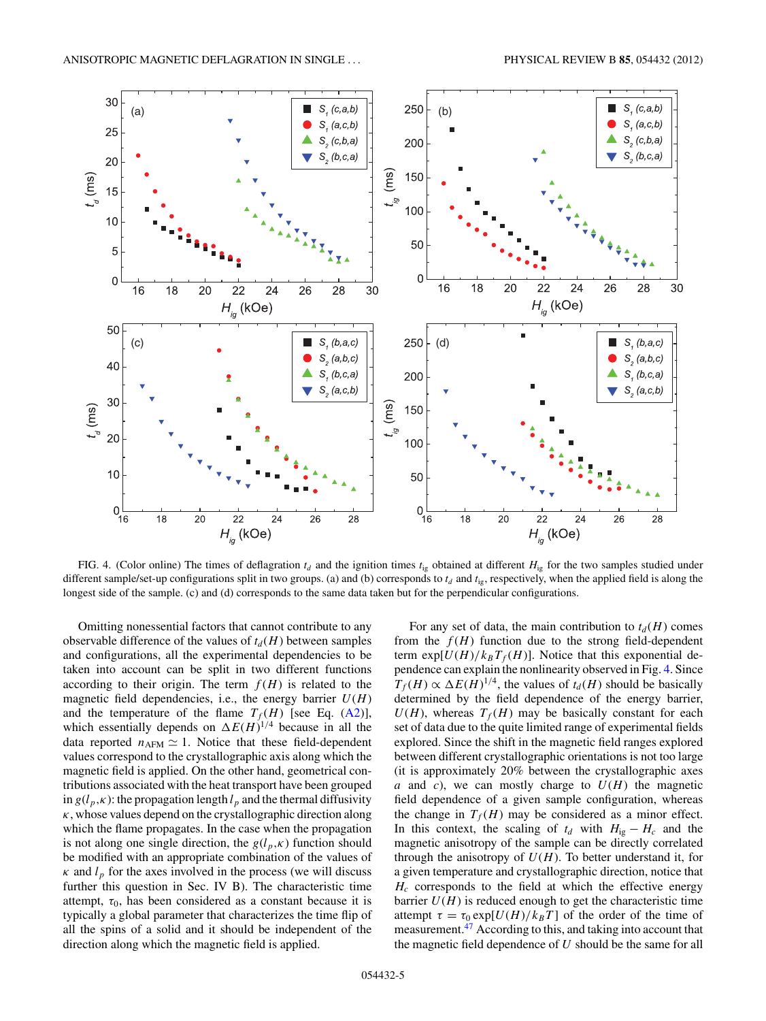<span id="page-4-0"></span>

FIG. 4. (Color online) The times of deflagration  $t_d$  and the ignition times  $t_{ig}$  obtained at different  $H_{ig}$  for the two samples studied under different sample/set-up configurations split in two groups. (a) and (b) corresponds to  $t_d$  and  $t_{ig}$ , respectively, when the applied field is along the longest side of the sample. (c) and (d) corresponds to the same data taken but for the perpendicular configurations.

Omitting nonessential factors that cannot contribute to any observable difference of the values of  $t_d$  (*H*) between samples and configurations, all the experimental dependencies to be taken into account can be split in two different functions according to their origin. The term  $f(H)$  is related to the magnetic field dependencies, i.e., the energy barrier  $U(H)$ and the temperature of the flame  $T_f(H)$  [see Eq. [\(A2\)](#page-6-0)], which essentially depends on  $\Delta E(H)^{1/4}$  because in all the data reported  $n_{AFM} \simeq 1$ . Notice that these field-dependent values correspond to the crystallographic axis along which the magnetic field is applied. On the other hand, geometrical contributions associated with the heat transport have been grouped in  $g(l_p, \kappa)$ : the propagation length  $l_p$  and the thermal diffusivity *κ*, whose values depend on the crystallographic direction along which the flame propagates. In the case when the propagation is not along one single direction, the  $g(l_p, \kappa)$  function should be modified with an appropriate combination of the values of  $\kappa$  and  $l_p$  for the axes involved in the process (we will discuss further this question in Sec. IV B). The characteristic time attempt,  $\tau_0$ , has been considered as a constant because it is typically a global parameter that characterizes the time flip of all the spins of a solid and it should be independent of the direction along which the magnetic field is applied.

For any set of data, the main contribution to  $t_d(H)$  comes from the  $f(H)$  function due to the strong field-dependent term  $\exp[U(H)/k_BT_f(H)]$ . Notice that this exponential dependence can explain the nonlinearity observed in Fig. 4. Since  $T_f(H) \propto \Delta E(H)^{1/4}$ , the values of  $t_d(H)$  should be basically determined by the field dependence of the energy barrier,  $U(H)$ , whereas  $T_f(H)$  may be basically constant for each set of data due to the quite limited range of experimental fields explored. Since the shift in the magnetic field ranges explored between different crystallographic orientations is not too large (it is approximately 20% between the crystallographic axes *a* and *c*), we can mostly charge to  $U(H)$  the magnetic field dependence of a given sample configuration, whereas the change in  $T_f(H)$  may be considered as a minor effect. In this context, the scaling of  $t_d$  with  $H_{i} - H_c$  and the magnetic anisotropy of the sample can be directly correlated through the anisotropy of  $U(H)$ . To better understand it, for a given temperature and crystallographic direction, notice that  $H_c$  corresponds to the field at which the effective energy barrier  $U(H)$  is reduced enough to get the characteristic time attempt  $\tau = \tau_0 \exp[U(H)/k_B T]$  of the order of the time of measurement.[47](#page-8-0) According to this, and taking into account that the magnetic field dependence of *U* should be the same for all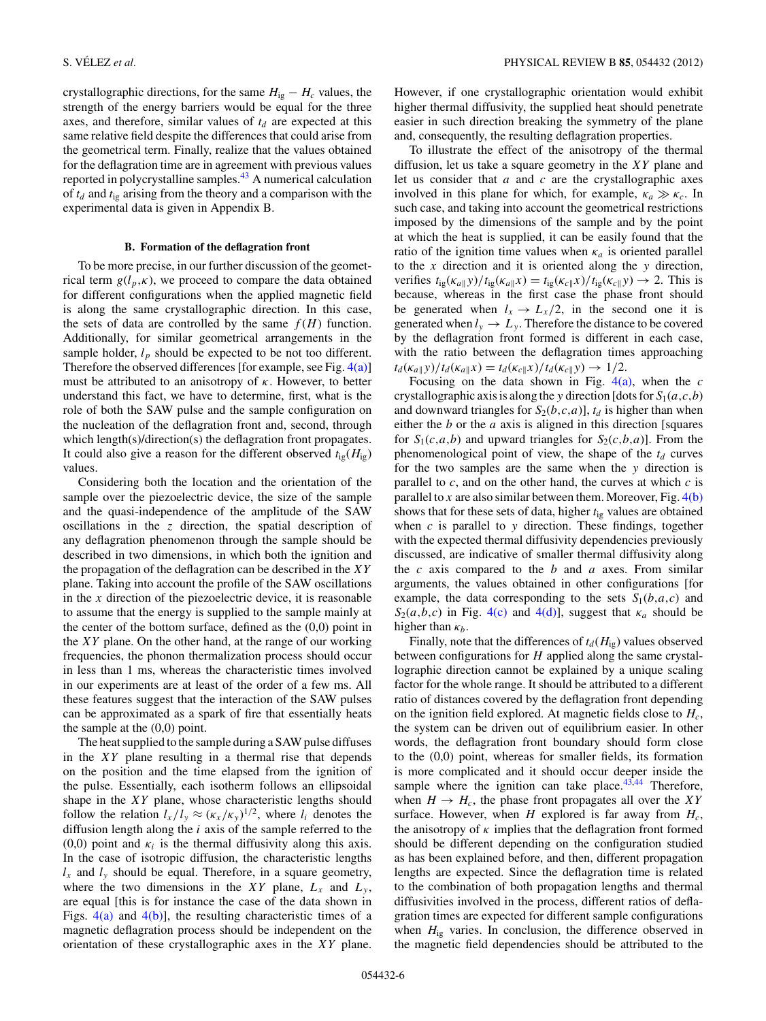crystallographic directions, for the same  $H_{ig} - H_c$  values, the strength of the energy barriers would be equal for the three axes, and therefore, similar values of  $t_d$  are expected at this same relative field despite the differences that could arise from the geometrical term. Finally, realize that the values obtained for the deflagration time are in agreement with previous values reported in polycrystalline samples.[43](#page-8-0) A numerical calculation of  $t_d$  and  $t_{ig}$  arising from the theory and a comparison with the experimental data is given in Appendix B.

#### **B. Formation of the deflagration front**

To be more precise, in our further discussion of the geometrical term  $g(l_p, \kappa)$ , we proceed to compare the data obtained for different configurations when the applied magnetic field is along the same crystallographic direction. In this case, the sets of data are controlled by the same  $f(H)$  function. Additionally, for similar geometrical arrangements in the sample holder,  $l_p$  should be expected to be not too different. Therefore the observed differences [for example, see Fig.  $4(a)$ ] must be attributed to an anisotropy of *κ*. However, to better understand this fact, we have to determine, first, what is the role of both the SAW pulse and the sample configuration on the nucleation of the deflagration front and, second, through which length(s)/direction(s) the deflagration front propagates. It could also give a reason for the different observed  $t_{\text{ig}}(H_{\text{ig}})$ values.

Considering both the location and the orientation of the sample over the piezoelectric device, the size of the sample and the quasi-independence of the amplitude of the SAW oscillations in the *z* direction, the spatial description of any deflagration phenomenon through the sample should be described in two dimensions, in which both the ignition and the propagation of the deflagration can be described in the *XY* plane. Taking into account the profile of the SAW oscillations in the *x* direction of the piezoelectric device, it is reasonable to assume that the energy is supplied to the sample mainly at the center of the bottom surface, defined as the  $(0,0)$  point in the *XY* plane. On the other hand, at the range of our working frequencies, the phonon thermalization process should occur in less than 1 ms, whereas the characteristic times involved in our experiments are at least of the order of a few ms. All these features suggest that the interaction of the SAW pulses can be approximated as a spark of fire that essentially heats the sample at the (0,0) point.

The heat supplied to the sample during a SAW pulse diffuses in the *XY* plane resulting in a thermal rise that depends on the position and the time elapsed from the ignition of the pulse. Essentially, each isotherm follows an ellipsoidal shape in the *XY* plane, whose characteristic lengths should follow the relation  $l_x/l_y \approx (\kappa_x/\kappa_y)^{1/2}$ , where  $l_i$  denotes the diffusion length along the *i* axis of the sample referred to the (0,0) point and  $\kappa_i$  is the thermal diffusivity along this axis. In the case of isotropic diffusion, the characteristic lengths  $l_x$  and  $l_y$  should be equal. Therefore, in a square geometry, where the two dimensions in the *XY* plane,  $L_x$  and  $L_y$ , are equal [this is for instance the case of the data shown in Figs.  $4(a)$  and  $4(b)$ ], the resulting characteristic times of a magnetic deflagration process should be independent on the orientation of these crystallographic axes in the *XY* plane.

However, if one crystallographic orientation would exhibit higher thermal diffusivity, the supplied heat should penetrate easier in such direction breaking the symmetry of the plane and, consequently, the resulting deflagration properties.

To illustrate the effect of the anisotropy of the thermal diffusion, let us take a square geometry in the *XY* plane and let us consider that *a* and *c* are the crystallographic axes involved in this plane for which, for example,  $\kappa_a \gg \kappa_c$ . In such case, and taking into account the geometrical restrictions imposed by the dimensions of the sample and by the point at which the heat is supplied, it can be easily found that the ratio of the ignition time values when  $\kappa_a$  is oriented parallel to the *x* direction and it is oriented along the *y* direction, verifies  $t_{ig}(\kappa_{a||}y)/t_{ig}(\kappa_{a||}x) = t_{ig}(\kappa_{c||}x)/t_{ig}(\kappa_{c||}y) \rightarrow 2$ . This is because, whereas in the first case the phase front should be generated when  $l_x \rightarrow L_x/2$ , in the second one it is generated when  $l_y \rightarrow L_y$ . Therefore the distance to be covered by the deflagration front formed is different in each case, with the ratio between the deflagration times approaching  $t_d(\kappa_{a\|} y)/t_d(\kappa_{a\|} x) = t_d(\kappa_{c\|} x)/t_d(\kappa_{c\|} y) \to 1/2.$ 

Focusing on the data shown in Fig. [4\(a\),](#page-4-0) when the *c* crystallographic axis is along the *y* direction [dots for  $S_1(a, c, b)$ ] and downward triangles for  $S_2(b,c,a)$ ,  $t_d$  is higher than when either the *b* or the *a* axis is aligned in this direction [squares for  $S_1(c,a,b)$  and upward triangles for  $S_2(c,b,a)$ ]. From the phenomenological point of view, the shape of the  $t_d$  curves for the two samples are the same when the *y* direction is parallel to  $c$ , and on the other hand, the curves at which  $c$  is parallel to *x* are also similar between them. Moreover, Fig.  $4(b)$ shows that for these sets of data, higher *t*ig values are obtained when *c* is parallel to *y* direction. These findings, together with the expected thermal diffusivity dependencies previously discussed, are indicative of smaller thermal diffusivity along the *c* axis compared to the *b* and *a* axes. From similar arguments, the values obtained in other configurations [for example, the data corresponding to the sets  $S_1(b,a,c)$  and  $S_2(a,b,c)$  in Fig. [4\(c\)](#page-4-0) and [4\(d\)\]](#page-4-0), suggest that  $\kappa_a$  should be higher than  $\kappa_b$ .

Finally, note that the differences of  $t_d$  ( $H_{ig}$ ) values observed between configurations for *H* applied along the same crystallographic direction cannot be explained by a unique scaling factor for the whole range. It should be attributed to a different ratio of distances covered by the deflagration front depending on the ignition field explored. At magnetic fields close to  $H_c$ , the system can be driven out of equilibrium easier. In other words, the deflagration front boundary should form close to the (0,0) point, whereas for smaller fields, its formation is more complicated and it should occur deeper inside the sample where the ignition can take place. $43,44$  Therefore, when  $H \to H_c$ , the phase front propagates all over the *XY* surface. However, when  $H$  explored is far away from  $H_c$ , the anisotropy of  $\kappa$  implies that the deflagration front formed should be different depending on the configuration studied as has been explained before, and then, different propagation lengths are expected. Since the deflagration time is related to the combination of both propagation lengths and thermal diffusivities involved in the process, different ratios of deflagration times are expected for different sample configurations when  $H_{i\varrho}$  varies. In conclusion, the difference observed in the magnetic field dependencies should be attributed to the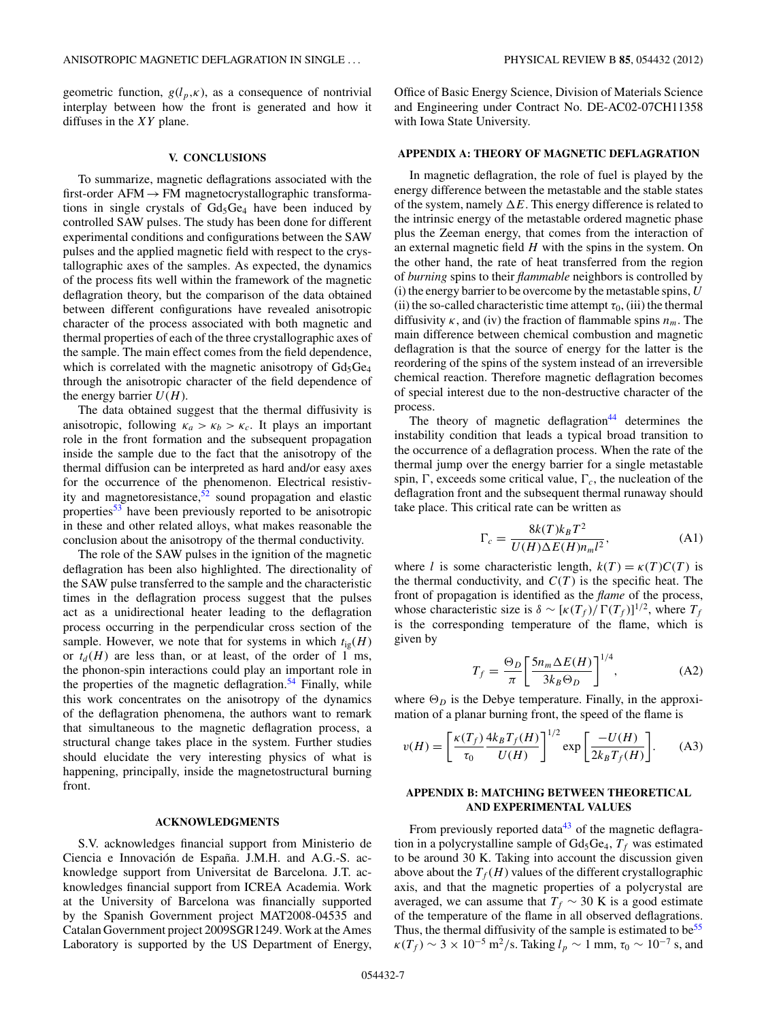<span id="page-6-0"></span>geometric function,  $g(l_p, \kappa)$ , as a consequence of nontrivial interplay between how the front is generated and how it diffuses in the *XY* plane.

### **V. CONCLUSIONS**

To summarize, magnetic deflagrations associated with the first-order  $AFM \rightarrow FM$  magnetocrystallographic transformations in single crystals of  $Gd_5Ge_4$  have been induced by controlled SAW pulses. The study has been done for different experimental conditions and configurations between the SAW pulses and the applied magnetic field with respect to the crystallographic axes of the samples. As expected, the dynamics of the process fits well within the framework of the magnetic deflagration theory, but the comparison of the data obtained between different configurations have revealed anisotropic character of the process associated with both magnetic and thermal properties of each of the three crystallographic axes of the sample. The main effect comes from the field dependence, which is correlated with the magnetic anisotropy of  $Gd_5Ge_4$ through the anisotropic character of the field dependence of the energy barrier  $U(H)$ .

The data obtained suggest that the thermal diffusivity is anisotropic, following  $\kappa_a > \kappa_b > \kappa_c$ . It plays an important role in the front formation and the subsequent propagation inside the sample due to the fact that the anisotropy of the thermal diffusion can be interpreted as hard and/or easy axes for the occurrence of the phenomenon. Electrical resistivity and magnetoresistance,<sup>52</sup> sound propagation and elastic properties<sup>[53](#page-8-0)</sup> have been previously reported to be anisotropic in these and other related alloys, what makes reasonable the conclusion about the anisotropy of the thermal conductivity.

The role of the SAW pulses in the ignition of the magnetic deflagration has been also highlighted. The directionality of the SAW pulse transferred to the sample and the characteristic times in the deflagration process suggest that the pulses act as a unidirectional heater leading to the deflagration process occurring in the perpendicular cross section of the sample. However, we note that for systems in which  $t_{ig}(H)$ or  $t_d(H)$  are less than, or at least, of the order of 1 ms, the phonon-spin interactions could play an important role in the properties of the magnetic deflagration.<sup>[54](#page-8-0)</sup> Finally, while this work concentrates on the anisotropy of the dynamics of the deflagration phenomena, the authors want to remark that simultaneous to the magnetic deflagration process, a structural change takes place in the system. Further studies should elucidate the very interesting physics of what is happening, principally, inside the magnetostructural burning front.

#### **ACKNOWLEDGMENTS**

S.V. acknowledges financial support from Ministerio de Ciencia e Innovación de España. J.M.H. and A.G.-S. acknowledge support from Universitat de Barcelona. J.T. acknowledges financial support from ICREA Academia. Work at the University of Barcelona was financially supported by the Spanish Government project MAT2008-04535 and Catalan Government project 2009SGR1249. Work at the Ames Laboratory is supported by the US Department of Energy,

Office of Basic Energy Science, Division of Materials Science and Engineering under Contract No. DE-AC02-07CH11358 with Iowa State University.

## **APPENDIX A: THEORY OF MAGNETIC DEFLAGRATION**

In magnetic deflagration, the role of fuel is played by the energy difference between the metastable and the stable states of the system, namely  $\Delta E$ . This energy difference is related to the intrinsic energy of the metastable ordered magnetic phase plus the Zeeman energy, that comes from the interaction of an external magnetic field *H* with the spins in the system. On the other hand, the rate of heat transferred from the region of *burning* spins to their *flammable* neighbors is controlled by (i) the energy barrier to be overcome by the metastable spins, *U* (ii) the so-called characteristic time attempt  $\tau_0$ , (iii) the thermal diffusivity  $\kappa$ , and (iv) the fraction of flammable spins  $n_m$ . The main difference between chemical combustion and magnetic deflagration is that the source of energy for the latter is the reordering of the spins of the system instead of an irreversible chemical reaction. Therefore magnetic deflagration becomes of special interest due to the non-destructive character of the process.

The theory of magnetic deflagration<sup>44</sup> determines the instability condition that leads a typical broad transition to the occurrence of a deflagration process. When the rate of the thermal jump over the energy barrier for a single metastable spin,  $\Gamma$ , exceeds some critical value,  $\Gamma_c$ , the nucleation of the deflagration front and the subsequent thermal runaway should take place. This critical rate can be written as

$$
\Gamma_c = \frac{8k(T)k_B T^2}{U(H)\Delta E(H)n_m l^2},\tag{A1}
$$

where *l* is some characteristic length,  $k(T) = \kappa(T)C(T)$  is the thermal conductivity, and  $C(T)$  is the specific heat. The front of propagation is identified as the *flame* of the process, whose characteristic size is  $\delta \sim [\kappa(T_f)/\Gamma(T_f)]^{1/2}$ , where  $T_f$ is the corresponding temperature of the flame, which is given by

$$
T_f = \frac{\Theta_D}{\pi} \left[ \frac{5n_m \Delta E(H)}{3k_B \Theta_D} \right]^{1/4},\tag{A2}
$$

where  $\Theta_D$  is the Debye temperature. Finally, in the approximation of a planar burning front, the speed of the flame is

$$
v(H) = \left[\frac{\kappa(T_f)}{\tau_0} \frac{4k_B T_f(H)}{U(H)}\right]^{1/2} \exp\left[\frac{-U(H)}{2k_B T_f(H)}\right].
$$
 (A3)

## **APPENDIX B: MATCHING BETWEEN THEORETICAL AND EXPERIMENTAL VALUES**

From previously reported data<sup>43</sup> of the magnetic deflagration in a polycrystalline sample of  $Gd_5Ge_4$ ,  $T_f$  was estimated to be around 30 K. Taking into account the discussion given above about the  $T_f(H)$  values of the different crystallographic axis, and that the magnetic properties of a polycrystal are averaged, we can assume that  $T_f \sim 30$  K is a good estimate of the temperature of the flame in all observed deflagrations. Thus, the thermal diffusivity of the sample is estimated to  $be^{55}$  $\kappa(T_f) \sim 3 \times 10^{-5}$  m<sup>2</sup>/s. Taking  $l_p \sim 1$  mm,  $\tau_0 \sim 10^{-7}$  s, and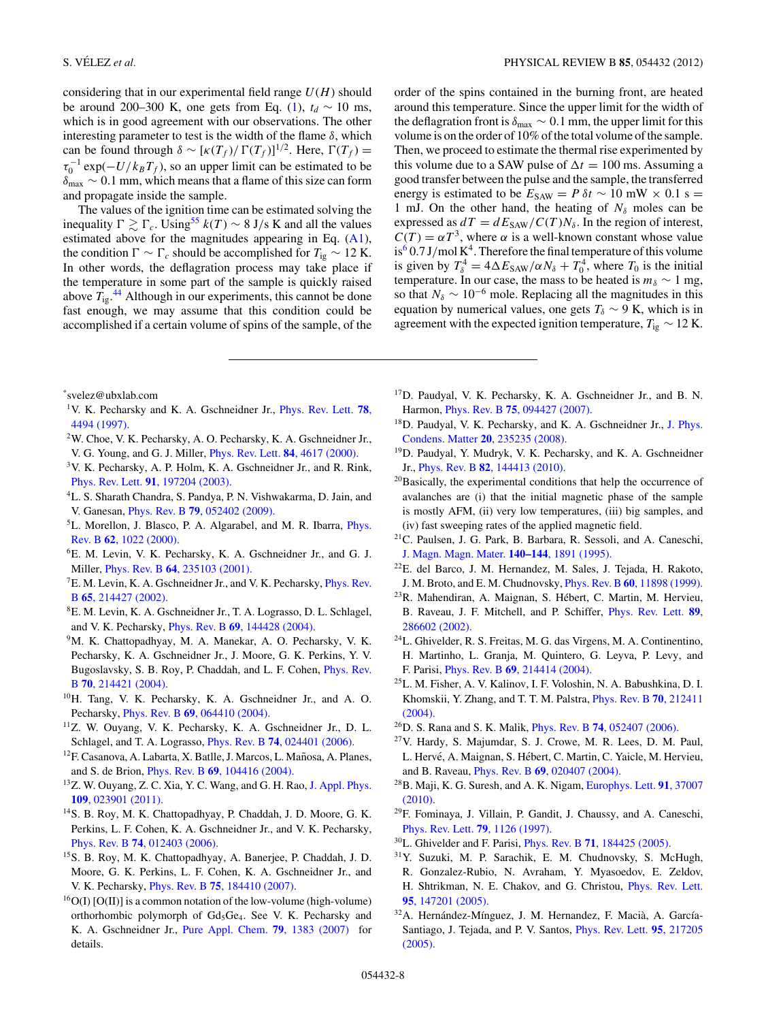considering that in our experimental field range  $U(H)$  should be around 200–300 K, one gets from Eq. [\(1\)](#page-3-0),  $t_d \sim 10$  ms, which is in good agreement with our observations. The other interesting parameter to test is the width of the flame  $\delta$ , which can be found through  $\delta \sim [\kappa(T_f)/\Gamma(T_f)]^{1/2}$ . Here,  $\Gamma(T_f)$  =  $\tau_0^{-1} \exp(-U/k_B T_f)$ , so an upper limit can be estimated to be *δ*max ∼ 0*.*1 mm, which means that a flame of this size can form and propagate inside the sample.

The values of the ignition time can be estimated solving the inequality  $\Gamma$   $\gtrsim \Gamma_c$ . Using<sup>55</sup> *k*(*T*) ∼ 8 J/s K and all the values estimated above for the magnitudes appearing in Eq. [\(A1\)](#page-6-0), the condition  $\Gamma \sim \Gamma_c$  should be accomplished for  $T_{ig} \sim 12$  K. In other words, the deflagration process may take place if the temperature in some part of the sample is quickly raised above  $T_{ig}$ .<sup>[44](#page-8-0)</sup> Although in our experiments, this cannot be done fast enough, we may assume that this condition could be accomplished if a certain volume of spins of the sample, of the

<span id="page-7-0"></span>S. VÉLEZ *et al.* PHYSICAL REVIEW B **85**, 054432 (2012)

order of the spins contained in the burning front, are heated around this temperature. Since the upper limit for the width of the deflagration front is  $\delta_{\text{max}} \sim 0.1$  mm, the upper limit for this volume is on the order of 10% of the total volume of the sample. Then, we proceed to estimate the thermal rise experimented by this volume due to a SAW pulse of  $\Delta t = 100$  ms. Assuming a good transfer between the pulse and the sample, the transferred energy is estimated to be  $E_{SAW} = P \delta t \sim 10$  mW × 0.1 s = 1 mJ. On the other hand, the heating of  $N_\delta$  moles can be expressed as  $dT = dE_{SAW}/C(T)N_{\delta}$ . In the region of interest,  $C(T) = \alpha T^3$ , where  $\alpha$  is a well-known constant whose value  $is<sup>6</sup> 0.7 J/mol K<sup>4</sup>$ . Therefore the final temperature of this volume is given by  $T_{\delta}^4 = 4\Delta E_{SAW}/\alpha N_{\delta} + T_0^4$ , where  $T_0$  is the initial temperature. In our case, the mass to be heated is  $m_\delta \sim 1$  mg, so that  $N_\delta \sim 10^{-6}$  mole. Replacing all the magnitudes in this equation by numerical values, one gets  $T_\delta \sim 9$  K, which is in agreement with the expected ignition temperature,  $T_{ig} \sim 12$  K.

\* svelez@ubxlab.com

- 1V. K. Pecharsky and K. A. Gschneidner Jr., [Phys. Rev. Lett.](http://dx.doi.org/10.1103/PhysRevLett.78.4494) **78**, [4494 \(1997\).](http://dx.doi.org/10.1103/PhysRevLett.78.4494)
- 2W. Choe, V. K. Pecharsky, A. O. Pecharsky, K. A. Gschneidner Jr., V. G. Young, and G. J. Miller, [Phys. Rev. Lett.](http://dx.doi.org/10.1103/PhysRevLett.84.4617) **84**, 4617 (2000).
- 3V. K. Pecharsky, A. P. Holm, K. A. Gschneidner Jr., and R. Rink, Phys. Rev. Lett. **91**[, 197204 \(2003\).](http://dx.doi.org/10.1103/PhysRevLett.91.197204)
- 4L. S. Sharath Chandra, S. Pandya, P. N. Vishwakarma, D. Jain, and V. Ganesan, Phys. Rev. B **79**[, 052402 \(2009\).](http://dx.doi.org/10.1103/PhysRevB.79.052402)
- 5L. Morellon, J. Blasco, P. A. Algarabel, and M. R. Ibarra, [Phys.](http://dx.doi.org/10.1103/PhysRevB.62.1022) Rev. B **62**[, 1022 \(2000\).](http://dx.doi.org/10.1103/PhysRevB.62.1022)
- 6E. M. Levin, V. K. Pecharsky, K. A. Gschneidner Jr., and G. J. Miller, Phys. Rev. B **64**[, 235103 \(2001\).](http://dx.doi.org/10.1103/PhysRevB.64.235103)
- <sup>7</sup>E. M. Levin, K. A. Gschneidner Jr., and V. K. Pecharsky, *[Phys. Rev.](http://dx.doi.org/10.1103/PhysRevB.65.214427)* B **65**[, 214427 \(2002\).](http://dx.doi.org/10.1103/PhysRevB.65.214427)
- 8E. M. Levin, K. A. Gschneidner Jr., T. A. Lograsso, D. L. Schlagel, and V. K. Pecharsky, Phys. Rev. B **69**[, 144428 \(2004\).](http://dx.doi.org/10.1103/PhysRevB.69.144428)
- <sup>9</sup>M. K. Chattopadhyay, M. A. Manekar, A. O. Pecharsky, V. K. Pecharsky, K. A. Gschneidner Jr., J. Moore, G. K. Perkins, Y. V. Bugoslavsky, S. B. Roy, P. Chaddah, and L. F. Cohen, [Phys. Rev.](http://dx.doi.org/10.1103/PhysRevB.70.214421) B **70**[, 214421 \(2004\).](http://dx.doi.org/10.1103/PhysRevB.70.214421)
- 10H. Tang, V. K. Pecharsky, K. A. Gschneidner Jr., and A. O. Pecharsky, Phys. Rev. B **69**[, 064410 \(2004\).](http://dx.doi.org/10.1103/PhysRevB.69.064410)
- 11Z. W. Ouyang, V. K. Pecharsky, K. A. Gschneidner Jr., D. L. Schlagel, and T. A. Lograsso, Phys. Rev. B **74**[, 024401 \(2006\).](http://dx.doi.org/10.1103/PhysRevB.74.024401)
- <sup>12</sup>F. Casanova, A. Labarta, X. Batlle, J. Marcos, L. Mañosa, A. Planes, and S. de Brion, Phys. Rev. B **69**[, 104416 \(2004\).](http://dx.doi.org/10.1103/PhysRevB.69.104416)
- <sup>13</sup>Z. W. Ouyang, Z. C. Xia, Y. C. Wang, and G. H. Rao, [J. Appl. Phys.](http://dx.doi.org/10.1063/1.3531995) **109**[, 023901 \(2011\).](http://dx.doi.org/10.1063/1.3531995)
- 14S. B. Roy, M. K. Chattopadhyay, P. Chaddah, J. D. Moore, G. K. Perkins, L. F. Cohen, K. A. Gschneidner Jr., and V. K. Pecharsky, Phys. Rev. B **74**[, 012403 \(2006\).](http://dx.doi.org/10.1103/PhysRevB.74.012403)
- 15S. B. Roy, M. K. Chattopadhyay, A. Banerjee, P. Chaddah, J. D. Moore, G. K. Perkins, L. F. Cohen, K. A. Gschneidner Jr., and V. K. Pecharsky, Phys. Rev. B **75**[, 184410 \(2007\).](http://dx.doi.org/10.1103/PhysRevB.75.184410)
- $^{16}O(I)$  [O(II)] is a common notation of the low-volume (high-volume) orthorhombic polymorph of Gd<sub>5</sub>Ge<sub>4</sub>. See V. K. Pecharsky and K. A. Gschneidner Jr., [Pure Appl. Chem.](http://dx.doi.org/10.1351/pac200779081383) **79**, 1383 (2007) for details.
- 17D. Paudyal, V. K. Pecharsky, K. A. Gschneidner Jr., and B. N. Harmon, Phys. Rev. B **75**[, 094427 \(2007\).](http://dx.doi.org/10.1103/PhysRevB.75.094427)
- <sup>18</sup>D. Paudyal, V. K. Pecharsky, and K. A. Gschneidner Jr., [J. Phys.](http://dx.doi.org/10.1088/0953-8984/20/23/235235) Condens. Matter **20**[, 235235 \(2008\).](http://dx.doi.org/10.1088/0953-8984/20/23/235235)
- 19D. Paudyal, Y. Mudryk, V. K. Pecharsky, and K. A. Gschneidner Jr., Phys. Rev. B **82**[, 144413 \(2010\).](http://dx.doi.org/10.1103/PhysRevB.82.144413)
- <sup>20</sup>Basically, the experimental conditions that help the occurrence of avalanches are (i) that the initial magnetic phase of the sample is mostly AFM, (ii) very low temperatures, (iii) big samples, and (iv) fast sweeping rates of the applied magnetic field.
- 21C. Paulsen, J. G. Park, B. Barbara, R. Sessoli, and A. Caneschi, [J. Magn. Magn. Mater.](http://dx.doi.org/10.1016/0304-8853(94)00638-5) **140–144**, 1891 (1995).
- 22E. del Barco, J. M. Hernandez, M. Sales, J. Tejada, H. Rakoto, J. M. Broto, and E. M. Chudnovsky, Phys. Rev. B **60**[, 11898 \(1999\).](http://dx.doi.org/10.1103/PhysRevB.60.11898)
- 23R. Mahendiran, A. Maignan, S. Hebert, C. Martin, M. Hervieu, ´ B. Raveau, J. F. Mitchell, and P. Schiffer, [Phys. Rev. Lett.](http://dx.doi.org/10.1103/PhysRevLett.89.286602) **89**, [286602 \(2002\).](http://dx.doi.org/10.1103/PhysRevLett.89.286602)
- 24L. Ghivelder, R. S. Freitas, M. G. das Virgens, M. A. Continentino, H. Martinho, L. Granja, M. Quintero, G. Leyva, P. Levy, and F. Parisi, Phys. Rev. B **69**[, 214414 \(2004\).](http://dx.doi.org/10.1103/PhysRevB.69.214414)
- 25L. M. Fisher, A. V. Kalinov, I. F. Voloshin, N. A. Babushkina, D. I. Khomskii, Y. Zhang, and T. T. M. Palstra, [Phys. Rev. B](http://dx.doi.org/10.1103/PhysRevB.70.212411) **70**, 212411 [\(2004\).](http://dx.doi.org/10.1103/PhysRevB.70.212411)
- 26D. S. Rana and S. K. Malik, Phys. Rev. B **74**[, 052407 \(2006\).](http://dx.doi.org/10.1103/PhysRevB.74.052407)
- 27V. Hardy, S. Majumdar, S. J. Crowe, M. R. Lees, D. M. Paul, L. Hervé, A. Maignan, S. Hébert, C. Martin, C. Yaicle, M. Hervieu, and B. Raveau, Phys. Rev. B **69**[, 020407 \(2004\).](http://dx.doi.org/10.1103/PhysRevB.69.020407)
- 28B. Maji, K. G. Suresh, and A. K. Nigam, [Europhys. Lett.](http://dx.doi.org/10.1209/0295-5075/91/37007) **91**, 37007 [\(2010\).](http://dx.doi.org/10.1209/0295-5075/91/37007)
- 29F. Fominaya, J. Villain, P. Gandit, J. Chaussy, and A. Caneschi, [Phys. Rev. Lett.](http://dx.doi.org/10.1103/PhysRevLett.79.1126) **79**, 1126 (1997).
- 30L. Ghivelder and F. Parisi, Phys. Rev. B **71**[, 184425 \(2005\).](http://dx.doi.org/10.1103/PhysRevB.71.184425)
- 31Y. Suzuki, M. P. Sarachik, E. M. Chudnovsky, S. McHugh, R. Gonzalez-Rubio, N. Avraham, Y. Myasoedov, E. Zeldov, H. Shtrikman, N. E. Chakov, and G. Christou, [Phys. Rev. Lett.](http://dx.doi.org/10.1103/PhysRevLett.95.147201) **95**[, 147201 \(2005\).](http://dx.doi.org/10.1103/PhysRevLett.95.147201)
- $32A$ . Hernández-Mínguez, J. M. Hernandez, F. Macià, A. García-Santiago, J. Tejada, and P. V. Santos, [Phys. Rev. Lett.](http://dx.doi.org/10.1103/PhysRevLett.95.217205) **95**, 217205 [\(2005\).](http://dx.doi.org/10.1103/PhysRevLett.95.217205)